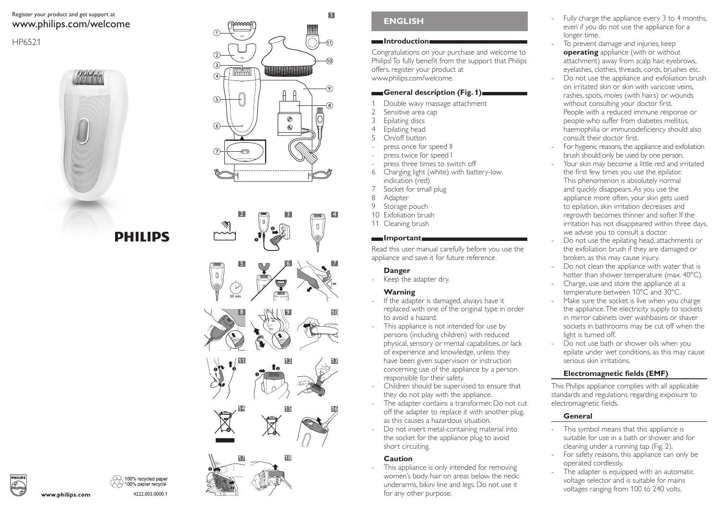# Register your product and get support at www.philips.com/welcome

# HP6521





**DHIIIDS** 



3

# **ENGLISH**

1

4

 $\mathbf{0}$ 

## **Introduction**

Congratulations on your purchase and welcome to Philips! To fully benefit from the support that Philips offers, register your product at www.philips.com/welcome.

# **General description (Fig. 1)**

- 1 Double wavy massage attachment<br>2 Sensitive area cap
- 2 Sensitive area cap<br>3 Foilating discs
- 3 Epilating discs<br>4 Epilating head
- 5 On/off button
- press once for speed II
- press twice for speed I
- press three times to switch off
- 6 Charging light (white) with battery-low indication (red)
- 7 Socket for small plug<br>8 Adapter
- 8 Adapter<br>9 Storage
- Storage pouch
- 10 Exfoliation brush
- 11 Cleaning brush

# **Important**

Read this user manual carefully before you use the appliance and save it for future reference.

# **Danger**

Keep the adapter dry.

# **Warning**

- If the adapter is damaged, always have it replaced with one of the original type in order to avoid a hazard.
- This appliance is not intended for use by persons (including children) with reduced physical, sensory or mental capabilities, or lack of experience and knowledge, unless they have been given supervision or instruction concerning use of the appliance by a person responsible for their safety.
- Children should be supervised to ensure that they do not play with the appliance.
- The adapter contains a transformer. Do not cut off the adapter to replace it with another plug, as this causes a hazardous situation.
- Do not insert metal-containing material into the socket for the appliance plug to avoid short circuiting.

# **Caution**

This appliance is only intended for removing women's body hair on areas below the neck: underarms, bikini line and legs. Do not use it for any other purpose. voltages rection and the set of the contract of the contract of the contract of the contract of the contract of the contract of the contract of the contract of the contract of the contract of the contract of the contract o

- Fully charge the appliance every 3 to 4 months, even if you do not use the appliance for a longer time.
- To prevent damage and injuries, keep **operating** appliance (with or without attachment) away from scalp hair, eyebrows, eyelashes, clothes, threads, cords, brushes etc.
- Do not use the appliance and exfoliation brush on irritated skin or skin with varicose veins, rashes, spots, moles (with hairs) or wounds without consulting your doctor first. People with a reduced immune response or people who suffer from diabetes mellitus, haemophilia or immunodeficiency should also consult their doctor first.
- For hygienic reasons, the appliance and exfoliation brush should only be used by one person.
- Your skin may become a little red and irritated the first few times you use the epilator. This phenomenon is absolutely normal and quickly disappears. As you use the appliance more often, your skin gets used to epilation, skin irritation decreases and regrowth becomes thinner and softer. If the irritation has not disappeared within three days, we advise you to consult a doctor.
- Do not use the epilating head, attachments or the exfoliation brush if they are damaged or broken, as this may cause injury.
- Do not clean the appliance with water that is hotter than shower temperature (max. 40°C).
- Charge, use and store the appliance at a temperature between 10°C and 30°C.
- Make sure the socket is live when you charge the appliance. The electricity supply to sockets in mirror cabinets over washbasins or shaver sockets in bathrooms may be cut off when the light is turned off.
- Do not use bath or shower oils when you epilate under wet conditions, as this may cause serious skin irritations.

# **Electromagnetic fields (EMF)**

This Philips appliance complies with all applicable standards and regulations regarding exposure to electromagnetic fields.

# **General**

- This symbol means that this appliance is suitable for use in a bath or shower and for cleaning under a running tap (Fig. 2).
- For safety reasons, this appliance can only be operated cordlessly.
- The adapter is equipped with an automatic voltage selector and is suitable for mains

100% recycled paper

PHILIPS

O



2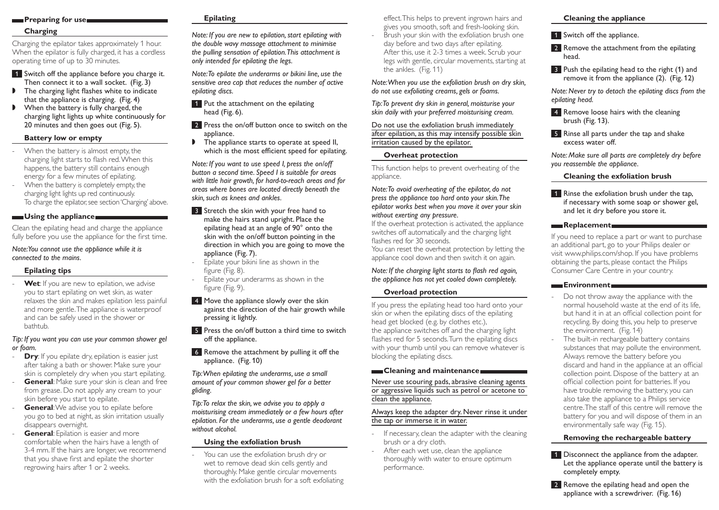#### **Preparing for use**

#### **Charging**

Charging the epilator takes approximately 1 hour. When the epilator is fully charged, it has a cordless operating time of up to 30 minutes.

- 1 Switch off the appliance before you charge it. Then connect it to a wall socket. (Fig. 3)
- $\triangleright$  The charging light flashes white to indicate that the appliance is charging. (Fig. 4)
- When the battery is fully charged, the charging light lights up white continuously for 20 minutes and then goes out (Fig. 5).

## **Battery low or empty**

- When the battery is almost empty, the charging light starts to flash red.When this happens, the battery still contains enough energy for a few minutes of epilating.
- When the battery is completely empty, the charging light lights up red continuously. To charge the epilator, see section 'Charging' above.

## **Using the appliance**

Clean the epilating head and charge the appliance fully before you use the appliance for the first time.

*Note: You cannot use the appliance while it is connected to the mains.*

## **Epilating tips**

Wet: If you are new to epilation, we advise you to start epilating on wet skin, as water relaxes the skin and makes epilation less painful and more gentle. The appliance is waterproof and can be safely used in the shower or bathtub.

#### *Tip: If you want you can use your common shower gel or foam.*

- **Dry**: If you epilate dry, epilation is easier just after taking a bath or shower. Make sure your skin is completely dry when you start epilating. **General:** Make sure your skin is clean and free
- from grease. Do not apply any cream to your skin before you start to epilate.
- **General:** We advise you to epilate before you go to bed at night, as skin irritation usually disappears overnight.
- **General:** Epilation is easier and more comfortable when the hairs have a length of 3-4 mm. If the hairs are longer, we recommend that you shave first and epilate the shorter regrowing hairs after 1 or 2 weeks.

## **Epilating**

*Note: If you are new to epilation, start epilating with the double wavy massage attachment to minimise the pulling sensation of epilation. This attachment is only intended for epilating the legs.*

*Note: To epilate the underarms or bikini line, use the sensitive area cap that reduces the number of active epilating discs.* 

- 1 Put the attachment on the epilating head (Fig. 6).
- 2 Press the on/off button once to switch on the appliance.
- $\triangleright$  The appliance starts to operate at speed II, which is the most efficient speed for epilating.

*Note: If you want to use speed I, press the on/off button a second time. Speed I is suitable for areas with little hair growth, for hard-to-reach areas and for areas where bones are located directly beneath the skin, such as knees and ankles.*

- 3 Stretch the skin with your free hand to make the hairs stand upright. Place the epilating head at an angle of 90° onto the skin with the on/off button pointing in the direction in which you are going to move the appliance (Fig. 7).
- Epilate your bikini line as shown in the figure (Fig. 8).
- Epilate your underarms as shown in the figure (Fig. 9).
- 4 Move the appliance slowly over the skin against the direction of the hair growth while pressing it lightly.
- **5** Press the on/off button a third time to switch off the appliance.
- 6 Remove the attachment by pulling it off the appliance. (Fig. 10)

*Tip: When epilating the underarms, use a small amount of your common shower gel for a better gliding.* 

*Tip: To relax the skin, we advise you to apply a moisturising cream immediately or a few hours after epilation. For the underarms, use a gentle deodorant without alcohol.* 

# **Using the exfoliation brush**

You can use the exfoliation brush dry or wet to remove dead skin cells gently and thoroughly. Make gentle circular movements with the exfoliation brush for a soft exfoliating effect. This helps to prevent ingrown hairs and gives you smooth, soft and fresh-looking skin.

Brush your skin with the exfoliation brush one day before and two days after epilating. After this, use it 2-3 times a week. Scrub your legs with gentle, circular movements, starting at the ankles. (Fig. 11)

*Note: When you use the exfoliation brush on dry skin, do not use exfoliating creams, gels or foams.* 

*Tip: To prevent dry skin in general, moisturise your skin daily with your preferred moisturising cream.* 

Do not use the exfoliation brush immediately after epilation, as this may intensify possible skin irritation caused by the epilator.

#### **Overheat protection**

This function helps to prevent overheating of the appliance.

*Note: To avoid overheating of the epilator, do not press the appliance too hard onto your skin. The epilator works best when you move it over your skin without exerting any pressure.*

If the overheat protection is activated, the appliance switches off automatically and the charging light flashes red for 30 seconds.

You can reset the overheat protection by letting the appliance cool down and then switch it on again.

#### *Note: If the charging light starts to flash red again, the appliance has not yet cooled down completely.*

#### **Overload protection**

If you press the epilating head too hard onto your skin or when the epilating discs of the epilating head get blocked (e.g. by clothes etc.), the appliance switches off and the charging light flashes red for 5 seconds. Turn the epilating discs with your thumb until you can remove whatever is blocking the epilating discs.

#### **Cleaning and maintenance**

Never use scouring pads, abrasive cleaning agents or aggressive liquids such as petrol or acetone to clean the appliance.

#### Always keep the adapter dry. Never rinse it under the tap or immerse it in water.

- If necessary, clean the adapter with the cleaning brush or a dry cloth.
- After each wet use, clean the appliance thoroughly with water to ensure optimum performance.

## **Cleaning the appliance**

- 1 Switch off the appliance.
- 2 Remove the attachment from the epilating head.
- **3** Push the epilating head to the right (1) and remove it from the appliance (2). (Fig. 12)

*Note: Never try to detach the epilating discs from the epilating head.*

4 Remove loose hairs with the cleaning brush (Fig. 13).

5 Rinse all parts under the tap and shake excess water off.

*Note: Make sure all parts are completely dry before you reassemble the appliance.* 

## **Cleaning the exfoliation brush**

1 Rinse the exfoliation brush under the tap, if necessary with some soap or shower gel, and let it dry before you store it.

#### **Replacement**

If you need to replace a part or want to purchase an additional part, go to your Philips dealer or visit www.philips.com/shop. If you have problems obtaining the parts, please contact the Philips Consumer Care Centre in your country.

#### **Environment**

- Do not throw away the appliance with the normal household waste at the end of its life, but hand it in at an official collection point for recycling. By doing this, you help to preserve the environment. (Fig. 14)
- The built-in rechargeable battery contains substances that may pollute the environment. Always remove the battery before you discard and hand in the appliance at an official collection point. Dispose of the battery at an official collection point for batteries. If you have trouble removing the battery, you can also take the appliance to a Philips service centre. The staff of this centre will remove the battery for you and will dispose of them in an environmentally safe way (Fig. 15).

#### **Removing the rechargeable battery**

- **1** Disconnect the appliance from the adapter. Let the appliance operate until the battery is completely empty.
- 2 Remove the epilating head and open the appliance with a screwdriver. (Fig. 16)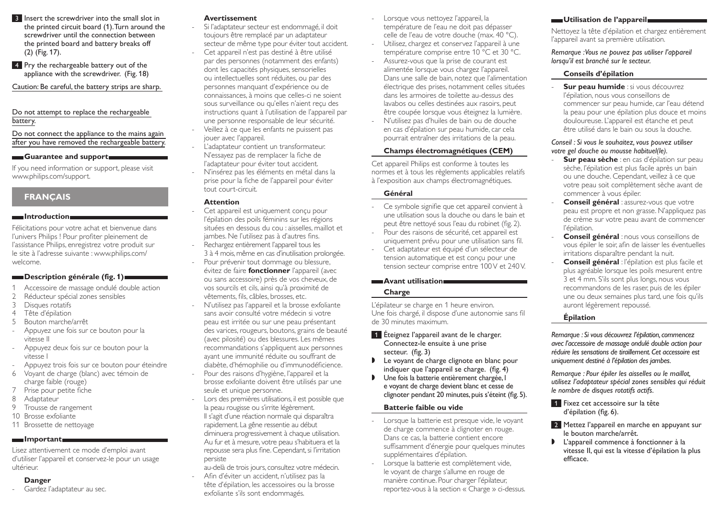- **3** Insert the screwdriver into the small slot in the printed circuit board (1). Turn around the screwdriver until the connection between the printed board and battery breaks off (2) (Fig. 17).
- **4** Pry the rechargeable battery out of the appliance with the screwdriver. (Fig. 18)

Caution: Be careful, the battery strips are sharp.

Do not attempt to replace the rechargeable battery.

Do not connect the appliance to the mains again after you have removed the rechargeable battery.

## **Guarantee and support**

If you need information or support, please visit www.philips.com/support.

# **FRANÇAIS**

#### **Introduction**

Félicitations pour votre achat et bienvenue dans l'univers Philips ! Pour profiter pleinement de l'assistance Philips, enregistrez votre produit sur le site à l'adresse suivante : www.philips.com/ welcome.

## **Description générale (fig. 1)**

- 1 Accessoire de massage ondulé double action
- 2 Réducteur spécial zones sensibles<br>3 Disques rotatifs
- 3 Disques rotatifs<br>4 Tête d'épilation
- Tête d'épilation
- 5 Bouton marche/arrêt
- Appuyez une fois sur ce bouton pour la vitesse II
- Appuyez deux fois sur ce bouton pour la vitesse I
- Appuyez trois fois sur ce bouton pour éteindre
- 6 Voyant de charge (blanc) avec témoin de charge faible (rouge)
- 7 Prise pour petite fiche
- 8 Adaptateur
- 9 Trousse de rangement
- 10 Brosse exfoliante
- 11 Brossette de nettoyage

# **Important**

Lisez attentivement ce mode d'emploi avant d'utiliser l'appareil et conservez-le pour un usage ultérieur.

# **Danger**

- Gardez l'adaptateur au sec.

# **Avertissement**

- Si l'adaptateur secteur est endommagé, il doit toujours être remplacé par un adaptateur secteur de même type pour éviter tout accident.
- Cet appareil n'est pas destiné à être utilisé par des personnes (notamment des enfants) dont les capacités physiques, sensorielles ou intellectuelles sont réduites, ou par des personnes manquant d'expérience ou de connaissances, à moins que celles-ci ne soient sous surveillance ou qu'elles n'aient reçu des instructions quant à l'utilisation de l'appareil par une personne responsable de leur sécurité. Veillez à ce que les enfants ne puissent pas jouer avec l'appareil.
- L'adaptateur contient un transformateur. N'essayez pas de remplacer la fiche de l'adaptateur pour éviter tout accident. - N'insérez pas les éléments en métal dans la prise pour la fiche de l'appareil pour éviter tout court-circuit.

#### **Attention**

- Cet appareil est uniquement concu pour l'épilation des poils féminins sur les régions situées en dessous du cou : aisselles, maillot et jambes. Ne l'utilisez pas à d'autres fins.
- Rechargez entièrement l'appareil tous les 3 à 4 mois, même en cas d'inutilisation prolongée.
- Pour prévenir tout dommage ou blessure. évitez de faire **fonctionner** l'appareil (avec ou sans accessoire) près de vos cheveux, de vos sourcils et cils, ainsi qu'à proximité de vêtements, fils, câbles, brosses, etc.
- N'utilisez pas l'appareil et la brosse exfoliante sans avoir consulté votre médecin si votre peau est irritée ou sur une peau présentant des varices, rougeurs, boutons, grains de beauté (avec pilosité) ou des blessures. Les mêmes recommandations s'appliquent aux personnes ayant une immunité réduite ou souffrant de diabète, d'hémophilie ou d'immunodéficience.
- Pour des raisons d'hygiène, l'appareil et la brosse exfoliante doivent être utilisés par une seule et unique personne.
- Lors des premières utilisations, il est possible que la peau rougisse ou s'irrite légèrement. Il s'agit d'une réaction normale qui disparaîtra rapidement. La gêne ressentie au début diminuera progressivement à chaque utilisation. Au fur et à mesure, votre peau s'habituera et la repousse sera plus fine. Cependant, si l'irritation persiste
- au-delà de trois jours, consultez votre médecin. Afin d'éviter un accident, n'utilisez pas la tête d'épilation, les accessoires ou la brosse exfoliante s'ils sont endommagés.
- Lorsque vous nettoyez l'appareil, la température de l'eau ne doit pas dépasser celle de l'eau de votre douche (max. 40 °C). - Utilisez, chargez et conservez l'appareil à une
- température comprise entre 10 °C et 30 °C.
- Assurez-vous que la prise de courant est alimentée lorsque vous chargez l'appareil. Dans une salle de bain, notez que l'alimentation électrique des prises, notamment celles situées dans les armoires de toilette au-dessus des lavabos ou celles destinées aux rasoirs, peut être coupée lorsque vous éteignez la lumière.
- N'utilisez pas d'huiles de bain ou de douche en cas d'épilation sur peau humide, car cela pourrait entraîner des irritations de la peau.

# **Champs électromagnétiques (CEM)**

Cet appareil Philips est conforme à toutes les normes et à tous les règlements applicables relatifs à l'exposition aux champs électromagnétiques.

## **Général**

- Ce symbole signifie que cet appareil convient à une utilisation sous la douche ou dans le bain et peut être nettoyé sous l'eau du robinet (fig. 2).
- Pour des raisons de sécurité, cet appareil est uniquement prévu pour une utilisation sans fil.
- Cet adaptateur est équipé d'un sélecteur de tension automatique et est conçu pour une tension secteur comprise entre 100V et 240V.

# **Avant utilisation**

## **Charge**

L'épilateur se charge en 1 heure environ. Une fois chargé, il dispose d'une autonomie sans fil de 30 minutes maximum.

- 1 Éteignez l'appareil avant de le charger. Connectez-le ensuite à une prise secteur. (fig. 3)
- Le voyant de charge clignote en blanc pour indiquer que l'appareil se charge. (fig. 4)
- , Une fois la batterie entièrement chargée, l e voyant de charge devient blanc et cesse de clignoter pendant 20 minutes, puis s'éteint (fig. 5).

## **Batterie faible ou vide**

- Lorsque la batterie est presque vide, le voyant de charge commence à clignoter en rouge. Dans ce cas, la batterie contient encore suffisamment d'énergie pour quelques minutes supplémentaires d'épilation.
- Lorsque la batterie est complètement vide, le voyant de charge s'allume en rouge de manière continue. Pour charger l'épilateur, reportez-vous à la section « Charge » ci-dessus.

# **Utilisation de l'appareil**

Nettoyez la tête d'épilation et chargez entièrement l'appareil avant sa première utilisation.

## *Remarque : Vous ne pouvez pas utiliser l'appareil lorsqu'il est branché sur le secteur.*

# **Conseils d'épilation**

**Sur peau humide** : si vous découvrez l'épilation, nous vous conseillons de commencer sur peau humide, car l'eau détend la peau pour une épilation plus douce et moins douloureuse. L'appareil est étanche et peut être utilisé dans le bain ou sous la douche.

## *Conseil : Si vous le souhaitez, vous pouvez utiliser votre gel douche ou mousse habituel(le).*

- **Sur peau sèche** : en cas d'épilation sur peau sèche, l'épilation est plus facile après un bain ou une douche. Cependant, veillez à ce que votre peau soit complètement sèche avant de commencer à vous épiler.
- **Conseil général** : assurez-vous que votre peau est propre et non grasse. N'appliquez pas de crème sur votre peau avant de commencer l'épilation.
- **Conseil général** : nous vous conseillons de vous épiler le soir, afin de laisser les éventuelles irritations disparaître pendant la nuit.
- **Conseil général** : l'épilation est plus facile et plus agréable lorsque les poils mesurent entre 3 et 4 mm. S'ils sont plus longs, nous vous recommandons de les raser, puis de les épiler une ou deux semaines plus tard, une fois qu'ils auront légèrement repoussé.

# **Épilation**

*Remarque : Si vous découvrez l'épilation, commencez avec l'accessoire de massage ondulé double action pour réduire les sensations de tiraillement. Cet accessoire est uniquement destiné à l'épilation des jambes.*

*Remarque : Pour épiler les aisselles ou le maillot, utilisez l'adaptateur spécial zones sensibles qui réduit le nombre de disques rotatifs actifs.* 

- 1 Fixez cet accessoire sur la tête d'épilation (fig. 6).
- 2 Mettez l'appareil en marche en appuyant sur le bouton marche/arrêt.
- L'appareil commence à fonctionner à la vitesse II, qui est la vitesse d'épilation la plus efficace.